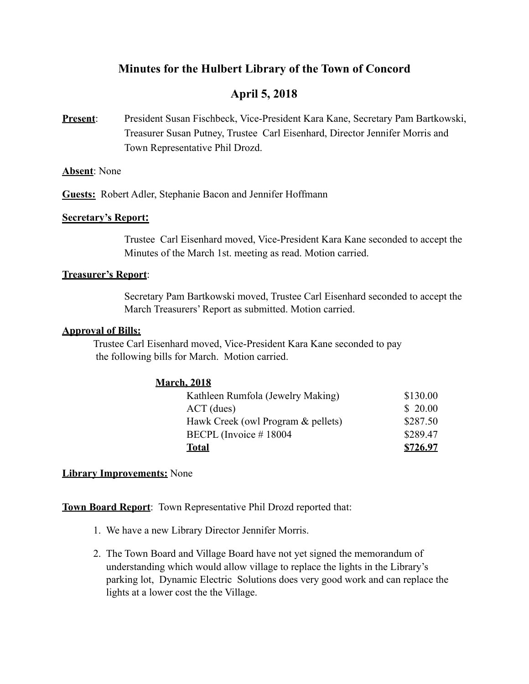# **Minutes for the Hulbert Library of the Town of Concord**

# **April 5, 2018**

**Present**: President Susan Fischbeck, Vice-President Kara Kane, Secretary Pam Bartkowski, Treasurer Susan Putney, Trustee Carl Eisenhard, Director Jennifer Morris and Town Representative Phil Drozd.

## **Absent**: None

**Guests:** Robert Adler, Stephanie Bacon and Jennifer Hoffmann

## **Secretary's Report:**

Trustee Carl Eisenhard moved, Vice-President Kara Kane seconded to accept the Minutes of the March 1st. meeting as read. Motion carried.

## **Treasurer's Report**:

 Secretary Pam Bartkowski moved, Trustee Carl Eisenhard seconded to accept the March Treasurers' Report as submitted. Motion carried.

#### **Approval of Bills:**

 Trustee Carl Eisenhard moved, Vice-President Kara Kane seconded to pay the following bills for March. Motion carried.

# **March, 2018**

| Kathleen Rumfola (Jewelry Making)  | \$130.00 |
|------------------------------------|----------|
| $ACT$ (dues)                       | \$20.00  |
| Hawk Creek (owl Program & pellets) | \$287.50 |
| BECPL (Invoice $\#$ 18004          | \$289.47 |
| Total                              | \$726.97 |

# **Library Improvements:** None

**Town Board Report**: Town Representative Phil Drozd reported that:

- 1. We have a new Library Director Jennifer Morris.
- 2. The Town Board and Village Board have not yet signed the memorandum of understanding which would allow village to replace the lights in the Library's parking lot, Dynamic Electric Solutions does very good work and can replace the lights at a lower cost the the Village.